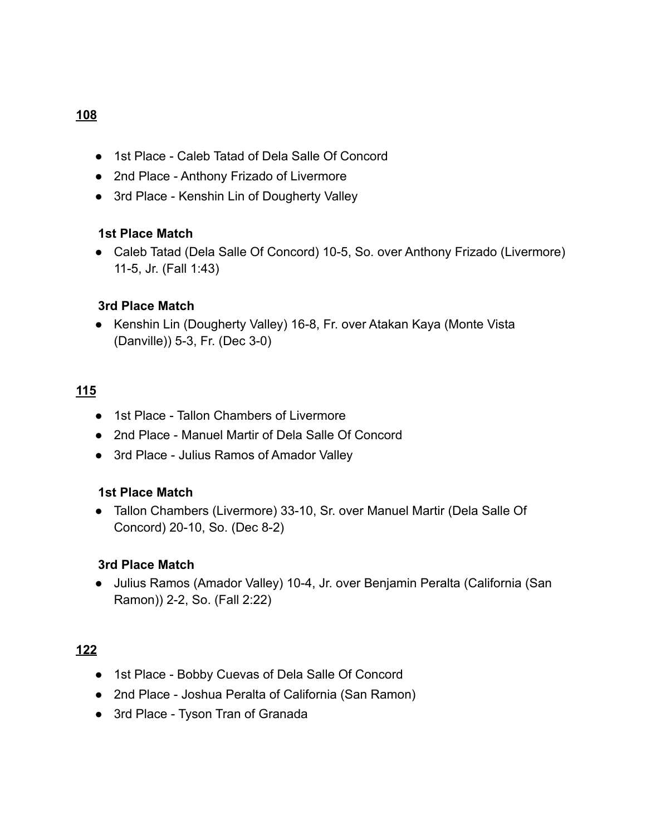# ● 1st Place - Caleb Tatad of Dela Salle Of Concord

- 2nd Place Anthony Frizado of Livermore
- 3rd Place Kenshin Lin of Dougherty Valley

#### **1st Place Match**

● Caleb Tatad (Dela Salle Of Concord) 10-5, So. over Anthony Frizado (Livermore) 11-5, Jr. (Fall 1:43)

#### **3rd Place Match**

● Kenshin Lin (Dougherty Valley) 16-8, Fr. over Atakan Kaya (Monte Vista (Danville)) 5-3, Fr. (Dec 3-0)

### **115**

- 1st Place Tallon Chambers of Livermore
- 2nd Place Manuel Martir of Dela Salle Of Concord
- 3rd Place Julius Ramos of Amador Valley

### **1st Place Match**

● Tallon Chambers (Livermore) 33-10, Sr. over Manuel Martir (Dela Salle Of Concord) 20-10, So. (Dec 8-2)

#### **3rd Place Match**

● Julius Ramos (Amador Valley) 10-4, Jr. over Benjamin Peralta (California (San Ramon)) 2-2, So. (Fall 2:22)

### **122**

- 1st Place Bobby Cuevas of Dela Salle Of Concord
- 2nd Place Joshua Peralta of California (San Ramon)
- 3rd Place Tyson Tran of Granada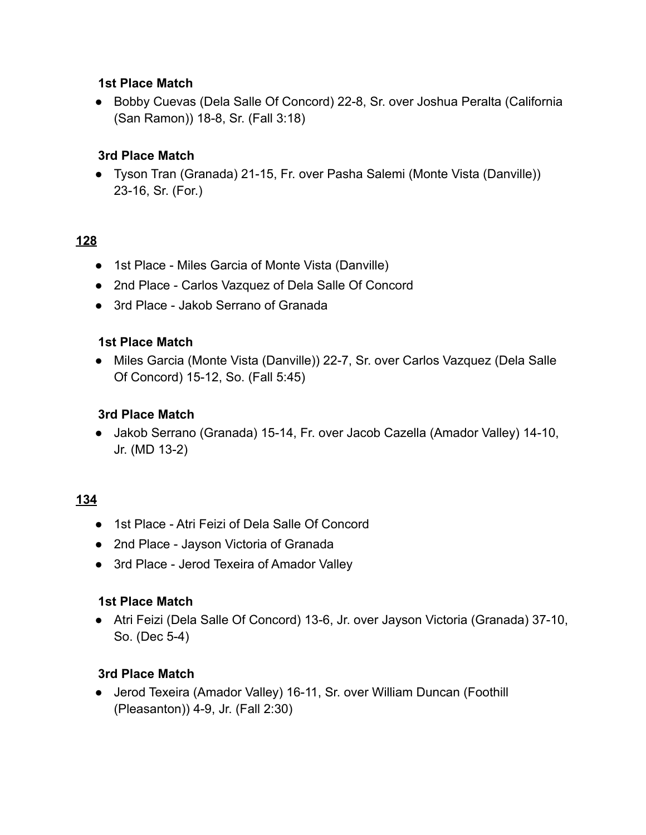● Bobby Cuevas (Dela Salle Of Concord) 22-8, Sr. over Joshua Peralta (California (San Ramon)) 18-8, Sr. (Fall 3:18)

# **3rd Place Match**

● Tyson Tran (Granada) 21-15, Fr. over Pasha Salemi (Monte Vista (Danville)) 23-16, Sr. (For.)

### **128**

- 1st Place Miles Garcia of Monte Vista (Danville)
- 2nd Place Carlos Vazquez of Dela Salle Of Concord
- 3rd Place Jakob Serrano of Granada

### **1st Place Match**

● Miles Garcia (Monte Vista (Danville)) 22-7, Sr. over Carlos Vazquez (Dela Salle Of Concord) 15-12, So. (Fall 5:45)

### **3rd Place Match**

● Jakob Serrano (Granada) 15-14, Fr. over Jacob Cazella (Amador Valley) 14-10, Jr. (MD 13-2)

### **134**

- 1st Place Atri Feizi of Dela Salle Of Concord
- 2nd Place Jayson Victoria of Granada
- 3rd Place Jerod Texeira of Amador Valley

### **1st Place Match**

● Atri Feizi (Dela Salle Of Concord) 13-6, Jr. over Jayson Victoria (Granada) 37-10, So. (Dec 5-4)

### **3rd Place Match**

● Jerod Texeira (Amador Valley) 16-11, Sr. over William Duncan (Foothill (Pleasanton)) 4-9, Jr. (Fall 2:30)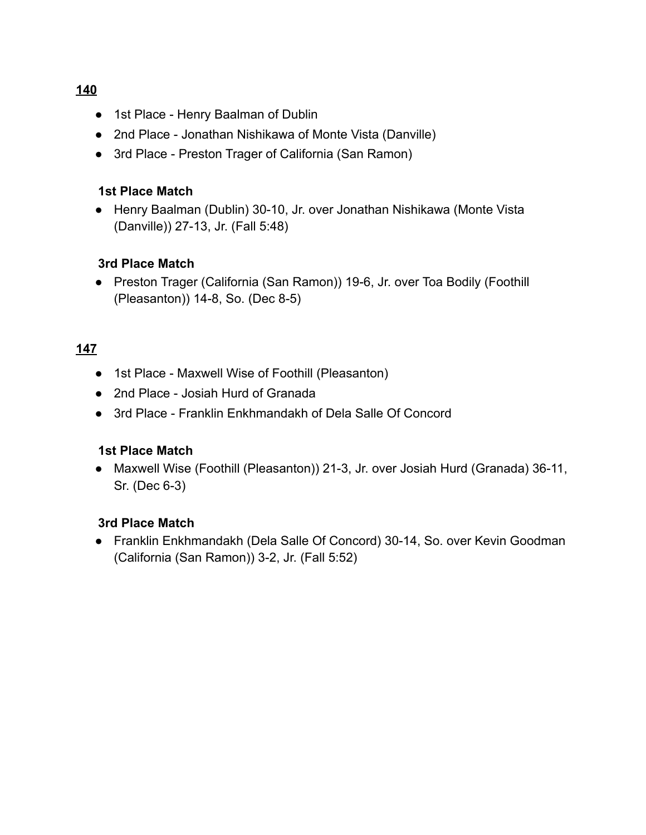- 1st Place Henry Baalman of Dublin
- 2nd Place Jonathan Nishikawa of Monte Vista (Danville)
- 3rd Place Preston Trager of California (San Ramon)

● Henry Baalman (Dublin) 30-10, Jr. over Jonathan Nishikawa (Monte Vista (Danville)) 27-13, Jr. (Fall 5:48)

# **3rd Place Match**

● Preston Trager (California (San Ramon)) 19-6, Jr. over Toa Bodily (Foothill (Pleasanton)) 14-8, So. (Dec 8-5)

# **147**

- 1st Place Maxwell Wise of Foothill (Pleasanton)
- 2nd Place Josiah Hurd of Granada
- 3rd Place Franklin Enkhmandakh of Dela Salle Of Concord

### **1st Place Match**

● Maxwell Wise (Foothill (Pleasanton)) 21-3, Jr. over Josiah Hurd (Granada) 36-11, Sr. (Dec 6-3)

### **3rd Place Match**

● Franklin Enkhmandakh (Dela Salle Of Concord) 30-14, So. over Kevin Goodman (California (San Ramon)) 3-2, Jr. (Fall 5:52)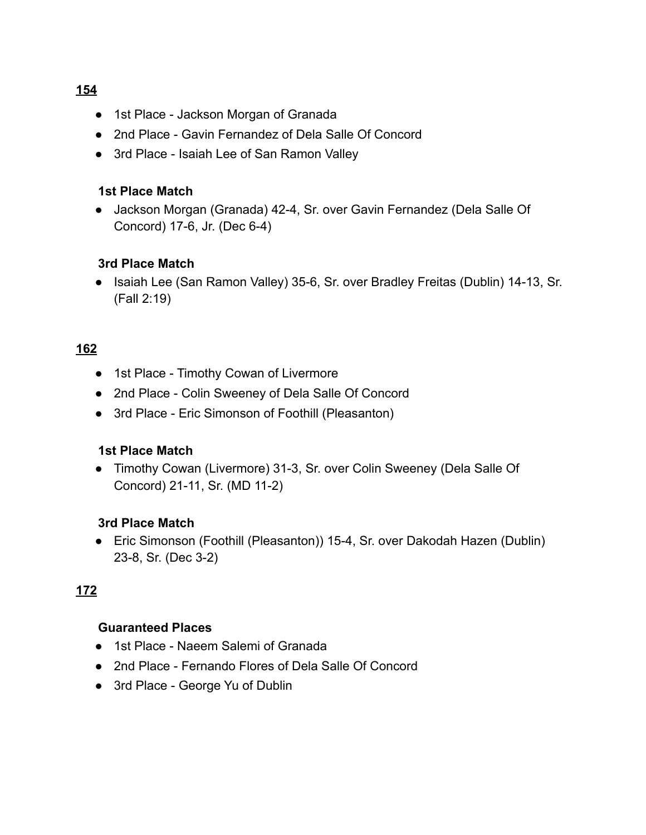- 1st Place Jackson Morgan of Granada
- 2nd Place Gavin Fernandez of Dela Salle Of Concord
- 3rd Place Isaiah Lee of San Ramon Valley

● Jackson Morgan (Granada) 42-4, Sr. over Gavin Fernandez (Dela Salle Of Concord) 17-6, Jr. (Dec 6-4)

### **3rd Place Match**

● Isaiah Lee (San Ramon Valley) 35-6, Sr. over Bradley Freitas (Dublin) 14-13, Sr. (Fall 2:19)

### **162**

- 1st Place Timothy Cowan of Livermore
- 2nd Place Colin Sweeney of Dela Salle Of Concord
- 3rd Place Eric Simonson of Foothill (Pleasanton)

### **1st Place Match**

● Timothy Cowan (Livermore) 31-3, Sr. over Colin Sweeney (Dela Salle Of Concord) 21-11, Sr. (MD 11-2)

### **3rd Place Match**

● Eric Simonson (Foothill (Pleasanton)) 15-4, Sr. over Dakodah Hazen (Dublin) 23-8, Sr. (Dec 3-2)

### **172**

#### **Guaranteed Places**

- 1st Place Naeem Salemi of Granada
- 2nd Place Fernando Flores of Dela Salle Of Concord
- 3rd Place George Yu of Dublin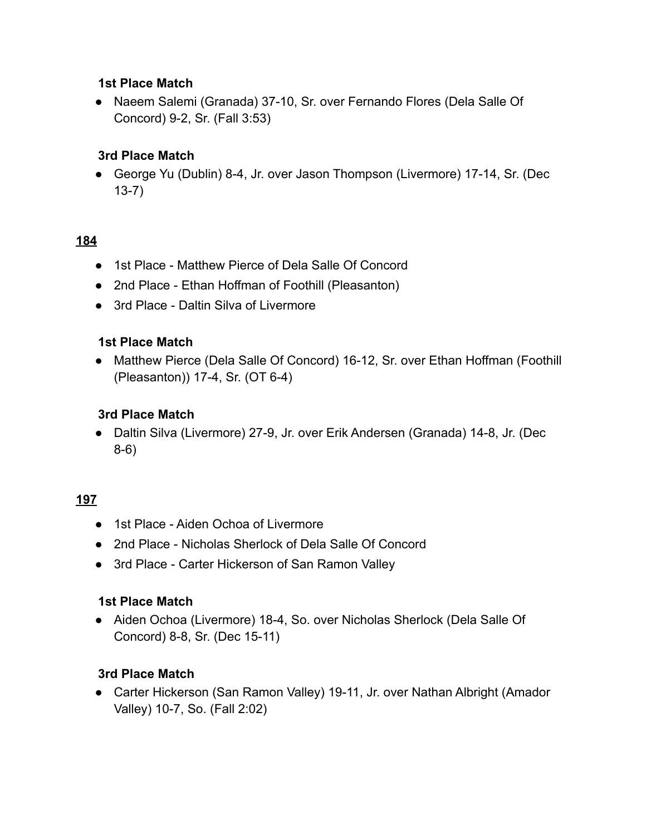● Naeem Salemi (Granada) 37-10, Sr. over Fernando Flores (Dela Salle Of Concord) 9-2, Sr. (Fall 3:53)

# **3rd Place Match**

● George Yu (Dublin) 8-4, Jr. over Jason Thompson (Livermore) 17-14, Sr. (Dec 13-7)

### **184**

- 1st Place Matthew Pierce of Dela Salle Of Concord
- 2nd Place Ethan Hoffman of Foothill (Pleasanton)
- 3rd Place Daltin Silva of Livermore

### **1st Place Match**

● Matthew Pierce (Dela Salle Of Concord) 16-12, Sr. over Ethan Hoffman (Foothill (Pleasanton)) 17-4, Sr. (OT 6-4)

### **3rd Place Match**

● Daltin Silva (Livermore) 27-9, Jr. over Erik Andersen (Granada) 14-8, Jr. (Dec 8-6)

### **197**

- 1st Place Aiden Ochoa of Livermore
- 2nd Place Nicholas Sherlock of Dela Salle Of Concord
- 3rd Place Carter Hickerson of San Ramon Valley

### **1st Place Match**

● Aiden Ochoa (Livermore) 18-4, So. over Nicholas Sherlock (Dela Salle Of Concord) 8-8, Sr. (Dec 15-11)

### **3rd Place Match**

● Carter Hickerson (San Ramon Valley) 19-11, Jr. over Nathan Albright (Amador Valley) 10-7, So. (Fall 2:02)